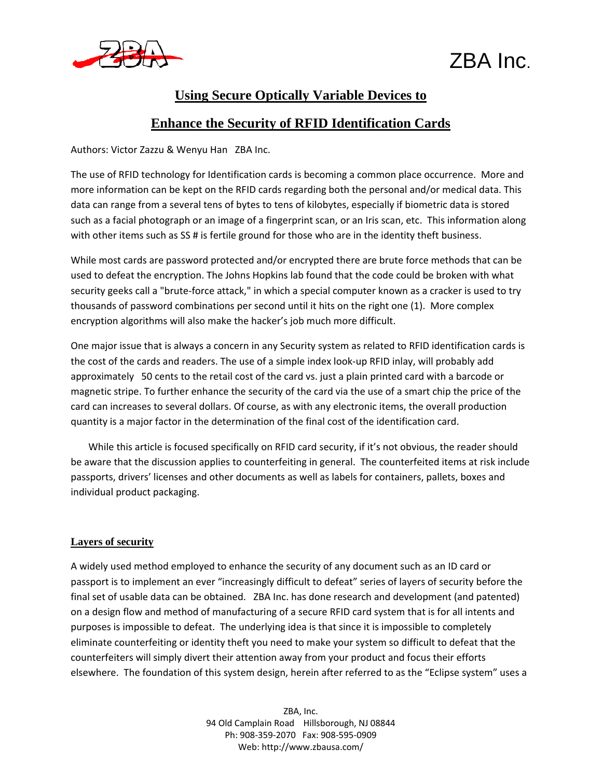



### **Using Secure Optically Variable Devices to**

### **Enhance the Security of RFID Identification Cards**

Authors: Victor Zazzu & Wenyu Han ZBA Inc.

The use of RFID technology for Identification cards is becoming a common place occurrence. More and more information can be kept on the RFID cards regarding both the personal and/or medical data. This data can range from a several tens of bytes to tens of kilobytes, especially if biometric data is stored such as a facial photograph or an image of a fingerprint scan, or an Iris scan, etc. This information along with other items such as SS # is fertile ground for those who are in the identity theft business.

While most cards are password protected and/or encrypted there are brute force methods that can be used to defeat the encryption. The Johns Hopkins lab found that the code could be broken with what security geeks call a "brute‐force attack," in which a special computer known as a cracker is used to try thousands of password combinations per second until it hits on the right one (1). More complex encryption algorithms will also make the hacker's job much more difficult.

One major issue that is always a concern in any Security system as related to RFID identification cards is the cost of the cards and readers. The use of a simple index look‐up RFID inlay, will probably add approximately 50 cents to the retail cost of the card vs. just a plain printed card with a barcode or magnetic stripe. To further enhance the security of the card via the use of a smart chip the price of the card can increases to several dollars. Of course, as with any electronic items, the overall production quantity is a major factor in the determination of the final cost of the identification card.

While this article is focused specifically on RFID card security, if it's not obvious, the reader should be aware that the discussion applies to counterfeiting in general. The counterfeited items at risk include passports, drivers' licenses and other documents as well as labels for containers, pallets, boxes and individual product packaging.

### **Layers of security**

A widely used method employed to enhance the security of any document such as an ID card or passport is to implement an ever "increasingly difficult to defeat" series of layers of security before the final set of usable data can be obtained. ZBA Inc. has done research and development (and patented) on a design flow and method of manufacturing of a secure RFID card system that is for all intents and purposes is impossible to defeat. The underlying idea is that since it is impossible to completely eliminate counterfeiting or identity theft you need to make your system so difficult to defeat that the counterfeiters will simply divert their attention away from your product and focus their efforts elsewhere. The foundation of this system design, herein after referred to as the "Eclipse system" uses a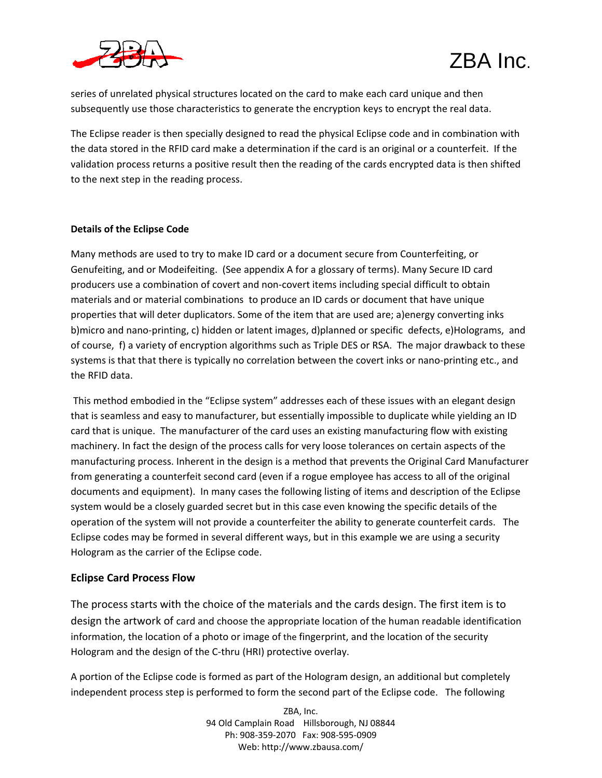



series of unrelated physical structures located on the card to make each card unique and then subsequently use those characteristics to generate the encryption keys to encrypt the real data.

The Eclipse reader is then specially designed to read the physical Eclipse code and in combination with the data stored in the RFID card make a determination if the card is an original or a counterfeit. If the validation process returns a positive result then the reading of the cards encrypted data is then shifted to the next step in the reading process.

### **Details of the Eclipse Code**

Many methods are used to try to make ID card or a document secure from Counterfeiting, or Genufeiting, and or Modeifeiting. (See appendix A for a glossary of terms). Many Secure ID card producers use a combination of covert and non‐covert items including special difficult to obtain materials and or material combinations to produce an ID cards or document that have unique properties that will deter duplicators. Some of the item that are used are; a)energy converting inks b)micro and nano‐printing, c) hidden or latent images, d)planned or specific defects, e)Holograms, and of course, f) a variety of encryption algorithms such as Triple DES or RSA. The major drawback to these systems is that that there is typically no correlation between the covert inks or nano-printing etc., and the RFID data.

This method embodied in the "Eclipse system" addresses each of these issues with an elegant design that is seamless and easy to manufacturer, but essentially impossible to duplicate while yielding an ID card that is unique. The manufacturer of the card uses an existing manufacturing flow with existing machinery. In fact the design of the process calls for very loose tolerances on certain aspects of the manufacturing process. Inherent in the design is a method that prevents the Original Card Manufacturer from generating a counterfeit second card (even if a rogue employee has access to all of the original documents and equipment). In many cases the following listing of items and description of the Eclipse system would be a closely guarded secret but in this case even knowing the specific details of the operation of the system will not provide a counterfeiter the ability to generate counterfeit cards. The Eclipse codes may be formed in several different ways, but in this example we are using a security Hologram as the carrier of the Eclipse code.

### **Eclipse Card Process Flow**

The process starts with the choice of the materials and the cards design. The first item is to design the artwork of card and choose the appropriate location of the human readable identification information, the location of a photo or image of the fingerprint, and the location of the security Hologram and the design of the C‐thru (HRI) protective overlay.

A portion of the Eclipse code is formed as part of the Hologram design, an additional but completely independent process step is performed to form the second part of the Eclipse code. The following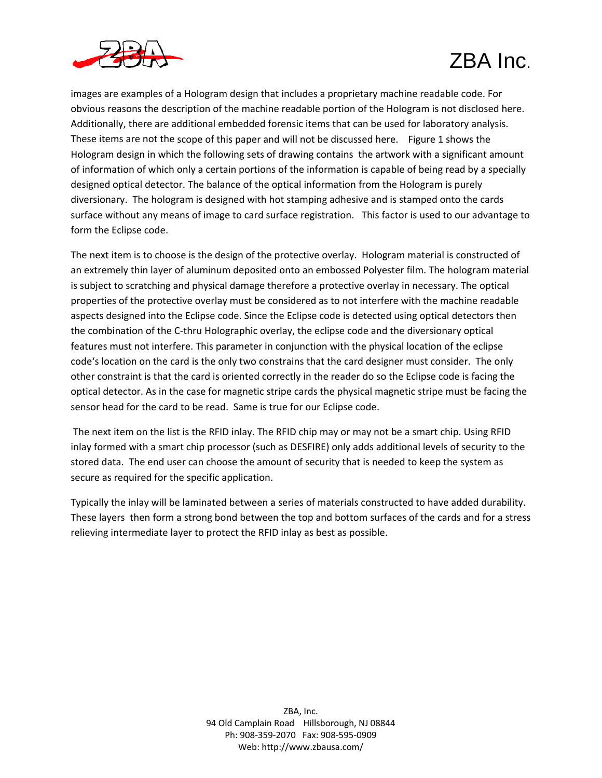

images are examples of a Hologram design that includes a proprietary machine readable code. For obvious reasons the description of the machine readable portion of the Hologram is not disclosed here. Additionally, there are additional embedded forensic items that can be used for laboratory analysis. These items are not the scope of this paper and will not be discussed here. Figure 1 shows the Hologram design in which the following sets of drawing contains the artwork with a significant amount of information of which only a certain portions of the information is capable of being read by a specially designed optical detector. The balance of the optical information from the Hologram is purely diversionary. The hologram is designed with hot stamping adhesive and is stamped onto the cards surface without any means of image to card surface registration. This factor is used to our advantage to form the Eclipse code.

The next item is to choose is the design of the protective overlay. Hologram material is constructed of an extremely thin layer of aluminum deposited onto an embossed Polyester film. The hologram material is subject to scratching and physical damage therefore a protective overlay in necessary. The optical properties of the protective overlay must be considered as to not interfere with the machine readable aspects designed into the Eclipse code. Since the Eclipse code is detected using optical detectors then the combination of the C‐thru Holographic overlay, the eclipse code and the diversionary optical features must not interfere. This parameter in conjunction with the physical location of the eclipse code's location on the card is the only two constrains that the card designer must consider. The only other constraint is that the card is oriented correctly in the reader do so the Eclipse code is facing the optical detector. As in the case for magnetic stripe cards the physical magnetic stripe must be facing the sensor head for the card to be read. Same is true for our Eclipse code.

The next item on the list is the RFID inlay. The RFID chip may or may not be a smart chip. Using RFID inlay formed with a smart chip processor (such as DESFIRE) only adds additional levels of security to the stored data. The end user can choose the amount of security that is needed to keep the system as secure as required for the specific application.

Typically the inlay will be laminated between a series of materials constructed to have added durability. These layers then form a strong bond between the top and bottom surfaces of the cards and for a stress relieving intermediate layer to protect the RFID inlay as best as possible.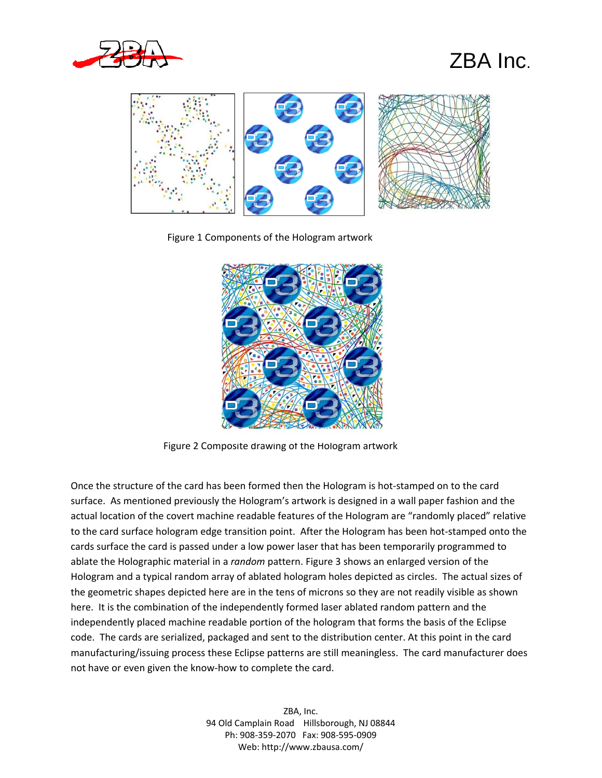



Figure 1 Components of the Hologram artwork



Figure 2 Composite drawing of the Hologram artwork

Once the structure of the card has been formed then the Hologram is hot‐stamped on to the card surface. As mentioned previously the Hologram's artwork is designed in a wall paper fashion and the actual location of the covert machine readable features of the Hologram are "randomly placed" relative to the card surface hologram edge transition point. After the Hologram has been hot‐stamped onto the cards surface the card is passed under a low power laser that has been temporarily programmed to ablate the Holographic material in a *random* pattern. Figure 3 shows an enlarged version of the Hologram and a typical random array of ablated hologram holes depicted as circles. The actual sizes of the geometric shapes depicted here are in the tens of microns so they are not readily visible as shown here. It is the combination of the independently formed laser ablated random pattern and the independently placed machine readable portion of the hologram that forms the basis of the Eclipse code. The cards are serialized, packaged and sent to the distribution center. At this point in the card manufacturing/issuing process these Eclipse patterns are still meaningless. The card manufacturer does not have or even given the know‐how to complete the card.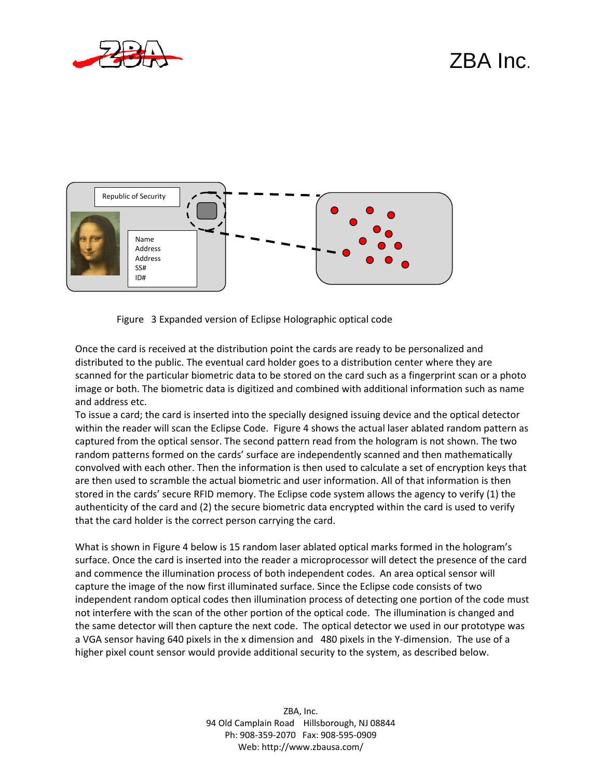



Figure 3 Expanded version of Eclipse Holographic optical code

Once the card is received at the distribution point the cards are ready to be personalized and distributed to the public. The eventual card holder goes to a distribution center where they are scanned for the particular biometric data to be stored on the card such as a fingerprint scan or a photo image or both. The biometric data is digitized and combined with additional information such as name and address etc.

To issue a card; the card is inserted into the specially designed issuing device and the optical detector within the reader will scan the Eclipse Code. Figure 4 shows the actual laser ablated random pattern as captured from the optical sensor. The second pattern read from the hologram is not shown. The two random patterns formed on the cards' surface are independently scanned and then mathematically convolved with each other. Then the information is then used to calculate a set of encryption keys that are then used to scramble the actual biometric and user information. All of that information is then stored in the cards' secure RFID memory. The Eclipse code system allows the agency to verify (1) the authenticity of the card and (2) the secure biometric data encrypted within the card is used to verify that the card holder is the correct person carrying the card.

What is shown in Figure 4 below is 15 random laser ablated optical marks formed in the hologram's surface. Once the card is inserted into the reader a microprocessor will detect the presence of the card and commence the illumination process of both independent codes. An area optical sensor will capture the image of the now first illuminated surface. Since the Eclipse code consists of two independent random optical codes then illumination process of detecting one portion of the code must not interfere with the scan of the other portion of the optical code. The illumination is changed and the same detector will then capture the next code. The optical detector we used in our prototype was a VGA sensor having 640 pixels in the x dimension and 480 pixels in the Y‐dimension. The use of a higher pixel count sensor would provide additional security to the system, as described below.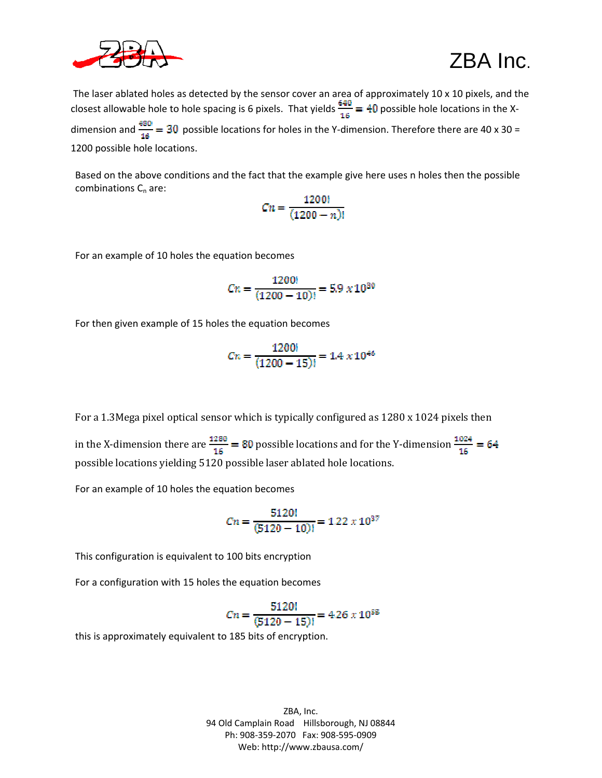

The laser ablated holes as detected by the sensor cover an area of approximately 10 x 10 pixels, and the closest allowable hole to hole spacing is 6 pixels. That yields  $\frac{640}{16}$  = 40 possible hole locations in the Xdimension and  $\frac{480}{16}$  = 30 possible locations for holes in the Y-dimension. Therefore there are 40 x 30 = 1200 possible hole locations.

Based on the above conditions and the fact that the example give here uses n holes then the possible combinations  $C_n$  are:

$$
C_n = \frac{1200!}{(1200 - n)!}
$$

For an example of 10 holes the equation becomes

$$
Cn = \frac{1200!}{(1200 - 10)!} = 5.9 \times 10^{30}
$$

For then given example of 15 holes the equation becomes

$$
Cn = \frac{1200!}{(1200 - 15)!} = 1.4 \times 10^{46}
$$

For a 1.3Mega pixel optical sensor which is typically configured as 1280 x 1024 pixels then in the X-dimension there are  $\frac{1280}{16}$  = 80 possible locations and for the Y-dimension  $\frac{1024}{16}$  = 64 possible locations yielding 5120 possible laser ablated hole locations.

For an example of 10 holes the equation becomes

$$
Cn = \frac{5120!}{(5120-10)!} = 1.22 \times 10^{37}
$$

This configuration is equivalent to 100 bits encryption

For a configuration with 15 holes the equation becomes

$$
Cn = \frac{5120!}{(5120 - 15)!} = 4.26 \times 10^{55}
$$

this is approximately equivalent to 185 bits of encryption.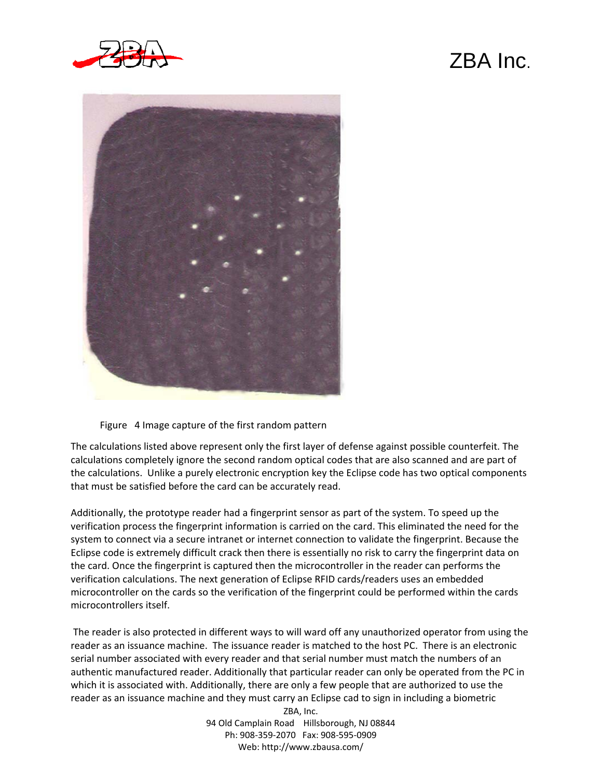



Figure 4 Image capture of the first random pattern

The calculations listed above represent only the first layer of defense against possible counterfeit. The calculations completely ignore the second random optical codes that are also scanned and are part of the calculations. Unlike a purely electronic encryption key the Eclipse code has two optical components that must be satisfied before the card can be accurately read.

Additionally, the prototype reader had a fingerprint sensor as part of the system. To speed up the verification process the fingerprint information is carried on the card. This eliminated the need for the system to connect via a secure intranet or internet connection to validate the fingerprint. Because the Eclipse code is extremely difficult crack then there is essentially no risk to carry the fingerprint data on the card. Once the fingerprint is captured then the microcontroller in the reader can performs the verification calculations. The next generation of Eclipse RFID cards/readers uses an embedded microcontroller on the cards so the verification of the fingerprint could be performed within the cards microcontrollers itself.

The reader is also protected in different ways to will ward off any unauthorized operator from using the reader as an issuance machine. The issuance reader is matched to the host PC. There is an electronic serial number associated with every reader and that serial number must match the numbers of an authentic manufactured reader. Additionally that particular reader can only be operated from the PC in which it is associated with. Additionally, there are only a few people that are authorized to use the reader as an issuance machine and they must carry an Eclipse cad to sign in including a biometric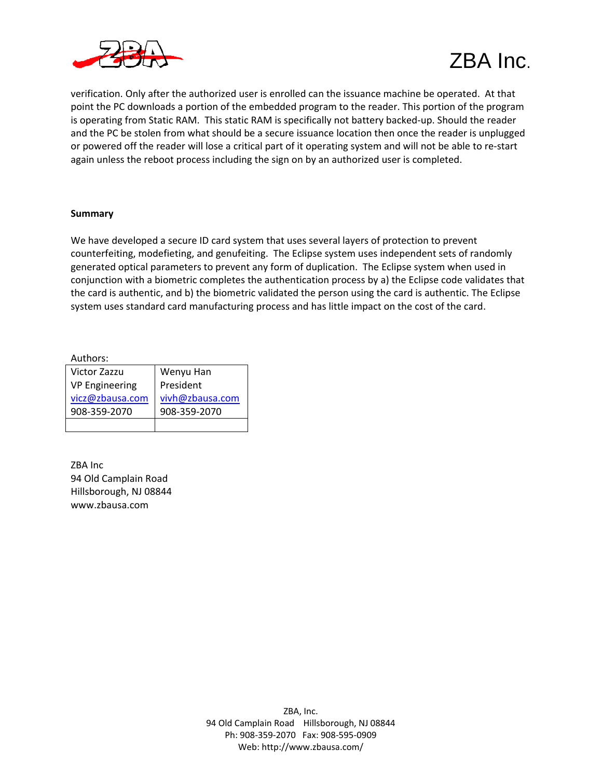



verification. Only after the authorized user is enrolled can the issuance machine be operated. At that point the PC downloads a portion of the embedded program to the reader. This portion of the program is operating from Static RAM. This static RAM is specifically not battery backed-up. Should the reader and the PC be stolen from what should be a secure issuance location then once the reader is unplugged or powered off the reader will lose a critical part of it operating system and will not be able to re‐start again unless the reboot process including the sign on by an authorized user is completed.

#### **Summary**

We have developed a secure ID card system that uses several layers of protection to prevent counterfeiting, modefieting, and genufeiting. The Eclipse system uses independent sets of randomly generated optical parameters to prevent any form of duplication. The Eclipse system when used in conjunction with a biometric completes the authentication process by a) the Eclipse code validates that the card is authentic, and b) the biometric validated the person using the card is authentic. The Eclipse system uses standard card manufacturing process and has little impact on the cost of the card.

Authors:

| Victor Zazzu          | Wenyu Han       |
|-----------------------|-----------------|
| <b>VP Engineering</b> | President       |
| vicz@zbausa.com       | vivh@zbausa.com |
| 908-359-2070          | 908-359-2070    |
|                       |                 |

ZBA Inc 94 Old Camplain Road Hillsborough, NJ 08844 www.zbausa.com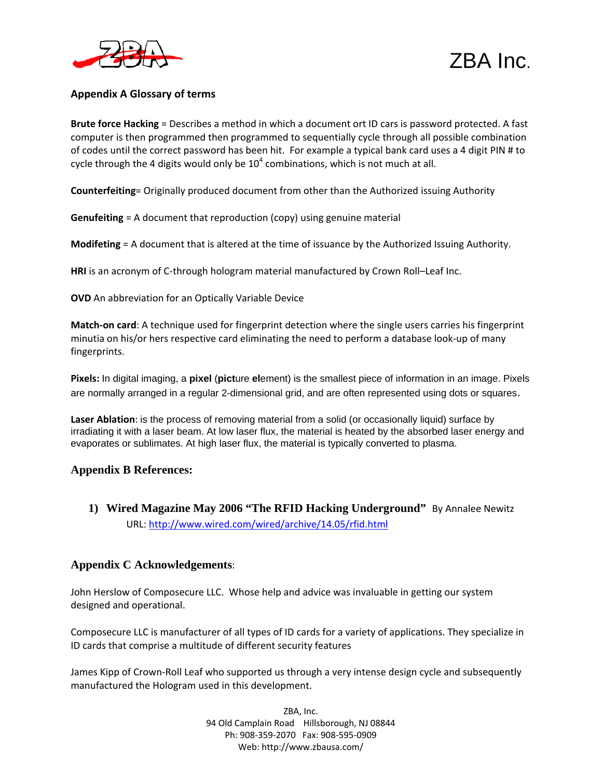



### **Appendix A Glossary of terms**

**Brute force Hacking** = Describes a method in which a document ort ID cars is password protected. A fast computer is then programmed then programmed to sequentially cycle through all possible combination of codes until the correct password has been hit. For example a typical bank card uses a 4 digit PIN # to cycle through the 4 digits would only be  $10^4$  combinations, which is not much at all.

**Counterfeiting**= Originally produced document from other than the Authorized issuing Authority

**Genufeiting** = A document that reproduction (copy) using genuine material

**Modifeting** = A document that is altered at the time of issuance by the Authorized Issuing Authority.

**HRI** is an acronym of C-through hologram material manufactured by Crown Roll–Leaf Inc.

**OVD** An abbreviation for an Optically Variable Device

**Match‐on card**: A technique used for fingerprint detection where the single users carries his fingerprint minutia on his/or hers respective card eliminating the need to perform a database look‐up of many fingerprints.

**Pixels:** In digital imaging, a **pixel** (**pict**ure **el**ement) is the smallest piece of information in an image. Pixels are normally arranged in a regular 2-dimensional grid, and are often represented using dots or squares.

**Laser Ablation**: is the process of removing material from a solid (or occasionally liquid) surface by irradiating it with a laser beam. At low laser flux, the material is heated by the absorbed laser energy and evaporates or sublimates. At high laser flux, the material is typically converted to plasma.

### **Appendix B References:**

**1) Wired Magazine May 2006 "The RFID Hacking Underground"** By Annalee Newitz URL: http://www.wired.com/wired/archive/14.05/rfid.html

### **Appendix C Acknowledgements**:

John Herslow of Composecure LLC. Whose help and advice was invaluable in getting our system designed and operational.

Composecure LLC is manufacturer of all types of ID cards for a variety of applications. They specialize in ID cards that comprise a multitude of different security features

James Kipp of Crown-Roll Leaf who supported us through a very intense design cycle and subsequently manufactured the Hologram used in this development.